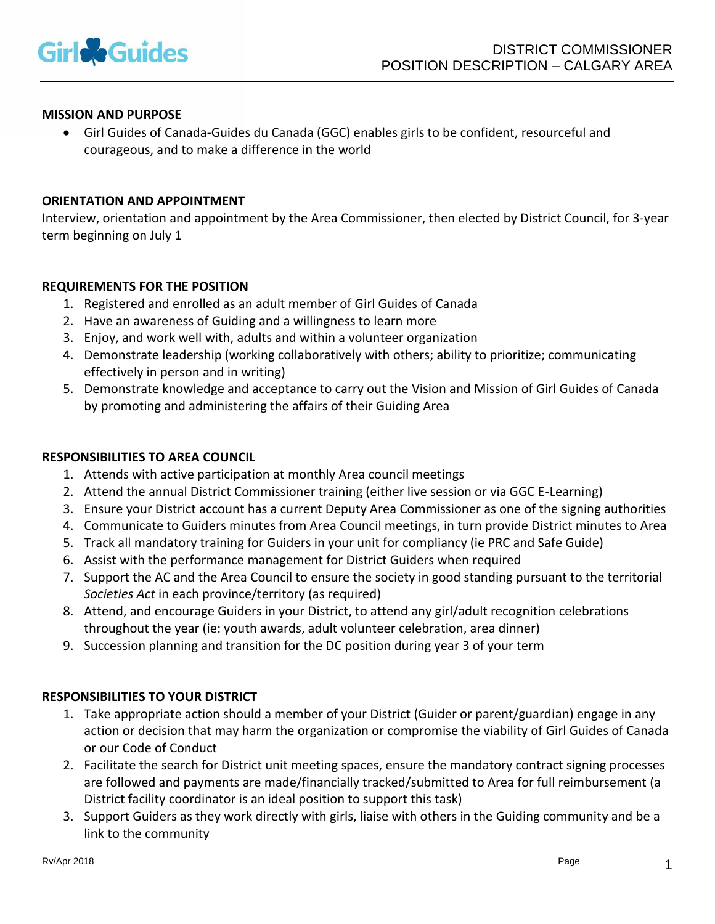

### **MISSION AND PURPOSE**

• Girl Guides of Canada-Guides du Canada (GGC) enables girls to be confident, resourceful and courageous, and to make a difference in the world

#### **ORIENTATION AND APPOINTMENT**

Interview, orientation and appointment by the Area Commissioner, then elected by District Council, for 3-year term beginning on July 1

#### **REQUIREMENTS FOR THE POSITION**

- 1. Registered and enrolled as an adult member of Girl Guides of Canada
- 2. Have an awareness of Guiding and a willingness to learn more
- 3. Enjoy, and work well with, adults and within a volunteer organization
- 4. Demonstrate leadership (working collaboratively with others; ability to prioritize; communicating effectively in person and in writing)
- 5. Demonstrate knowledge and acceptance to carry out the Vision and Mission of Girl Guides of Canada by promoting and administering the affairs of their Guiding Area

#### **RESPONSIBILITIES TO AREA COUNCIL**

- 1. Attends with active participation at monthly Area council meetings
- 2. Attend the annual District Commissioner training (either live session or via GGC E-Learning)
- 3. Ensure your District account has a current Deputy Area Commissioner as one of the signing authorities
- 4. Communicate to Guiders minutes from Area Council meetings, in turn provide District minutes to Area
- 5. Track all mandatory training for Guiders in your unit for compliancy (ie PRC and Safe Guide)
- 6. Assist with the performance management for District Guiders when required
- 7. Support the AC and the Area Council to ensure the society in good standing pursuant to the territorial *Societies Act* in each province/territory (as required)
- 8. Attend, and encourage Guiders in your District, to attend any girl/adult recognition celebrations throughout the year (ie: youth awards, adult volunteer celebration, area dinner)
- 9. Succession planning and transition for the DC position during year 3 of your term

## **RESPONSIBILITIES TO YOUR DISTRICT**

- 1. Take appropriate action should a member of your District (Guider or parent/guardian) engage in any action or decision that may harm the organization or compromise the viability of Girl Guides of Canada or our Code of Conduct
- 2. Facilitate the search for District unit meeting spaces, ensure the mandatory contract signing processes are followed and payments are made/financially tracked/submitted to Area for full reimbursement (a District facility coordinator is an ideal position to support this task)
- 3. Support Guiders as they work directly with girls, liaise with others in the Guiding community and be a link to the community